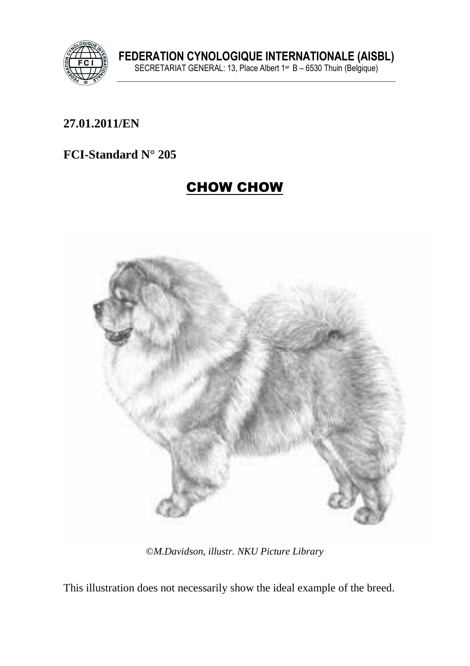

### **27.01.2011/EN**

### **FCI-Standard N° 205**

# CHOW CHOW



©*M.Davidson, illustr. NKU Picture Library* 

This illustration does not necessarily show the ideal example of the breed.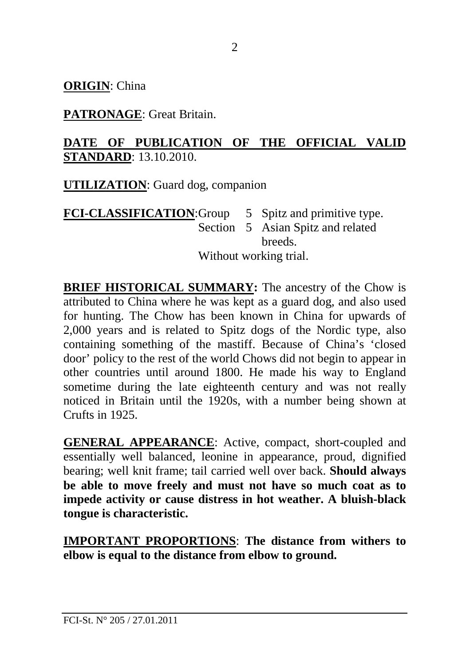**ORIGIN**: China

**PATRONAGE**: Great Britain.

### **DATE OF PUBLICATION OF THE OFFICIAL VALID STANDARD**: 13.10.2010.

**UTILIZATION**: Guard dog, companion

### **FCI-CLASSIFICATION:** Group 5 Spitz and primitive type. Section 5 Asian Spitz and related **breeds** Without working trial.

**BRIEF HISTORICAL SUMMARY:** The ancestry of the Chow is attributed to China where he was kept as a guard dog, and also used for hunting. The Chow has been known in China for upwards of 2,000 years and is related to Spitz dogs of the Nordic type, also containing something of the mastiff. Because of China's 'closed door' policy to the rest of the world Chows did not begin to appear in other countries until around 1800. He made his way to England sometime during the late eighteenth century and was not really noticed in Britain until the 1920s, with a number being shown at Crufts in 1925.

**GENERAL APPEARANCE**: Active, compact, short-coupled and essentially well balanced, leonine in appearance, proud, dignified bearing; well knit frame; tail carried well over back. **Should always be able to move freely and must not have so much coat as to impede activity or cause distress in hot weather. A bluish-black tongue is characteristic.** 

**IMPORTANT PROPORTIONS**: **The distance from withers to elbow is equal to the distance from elbow to ground.**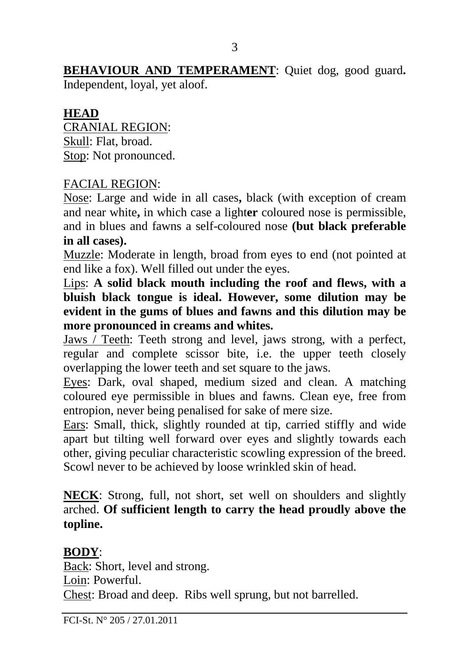**BEHAVIOUR AND TEMPERAMENT**: Quiet dog, good guard**.**

Independent, loyal, yet aloof.

### **HEAD**

CRANIAL REGION: Skull: Flat, broad. Stop: Not pronounced.

#### FACIAL REGION:

Nose: Large and wide in all cases**,** black (with exception of cream and near white**,** in which case a light**er** coloured nose is permissible, and in blues and fawns a self-coloured nose **(but black preferable in all cases).** 

Muzzle: Moderate in length, broad from eyes to end (not pointed at end like a fox). Well filled out under the eyes.

Lips: **A solid black mouth including the roof and flews, with a bluish black tongue is ideal. However, some dilution may be evident in the gums of blues and fawns and this dilution may be more pronounced in creams and whites.** 

Jaws / Teeth: Teeth strong and level, jaws strong, with a perfect, regular and complete scissor bite, i.e. the upper teeth closely overlapping the lower teeth and set square to the jaws.

Eyes: Dark, oval shaped, medium sized and clean. A matching coloured eye permissible in blues and fawns. Clean eye, free from entropion, never being penalised for sake of mere size.

Ears: Small, thick, slightly rounded at tip, carried stiffly and wide apart but tilting well forward over eyes and slightly towards each other, giving peculiar characteristic scowling expression of the breed. Scowl never to be achieved by loose wrinkled skin of head.

**NECK**: Strong, full, not short, set well on shoulders and slightly arched. **Of sufficient length to carry the head proudly above the topline.** 

### **BODY**:

Back: Short, level and strong. Loin: Powerful. Chest: Broad and deep. Ribs well sprung, but not barrelled.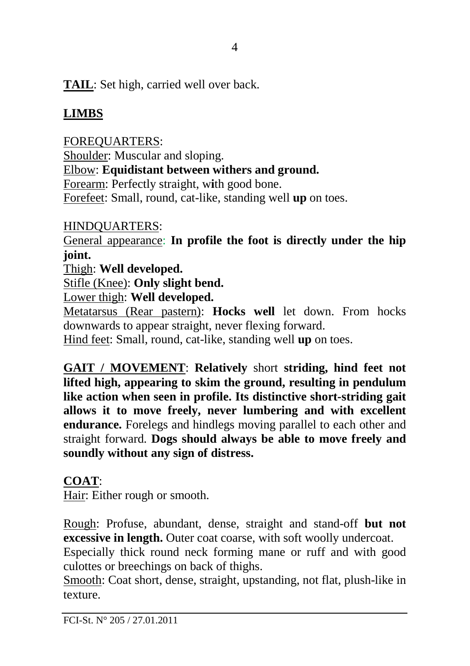**TAIL**: Set high, carried well over back.

# **LIMBS**

FOREQUARTERS: Shoulder: Muscular and sloping. Elbow: **Equidistant between withers and ground.** Forearm: Perfectly straight, w**i**th good bone. Forefeet: Small, round, cat-like, standing well **up** on toes.

HINDQUARTERS:

General appearance: **In profile the foot is directly under the hip joint.** 

Thigh: **Well developed.** 

Stifle (Knee): **Only slight bend.**

Lower thigh: **Well developed.**

Metatarsus (Rear pastern): **Hocks well** let down. From hocks downwards to appear straight, never flexing forward.

Hind feet: Small, round, cat-like, standing well **up** on toes.

**GAIT / MOVEMENT**: **Relatively** short **striding, hind feet not lifted high, appearing to skim the ground, resulting in pendulum like action when seen in profile. Its distinctive short-striding gait allows it to move freely, never lumbering and with excellent endurance.** Forelegs and hindlegs moving parallel to each other and straight forward. **Dogs should always be able to move freely and soundly without any sign of distress.** 

## **COAT**:

Hair: Either rough or smooth.

Rough: Profuse, abundant, dense, straight and stand-off **but not excessive in length.** Outer coat coarse, with soft woolly undercoat.

Especially thick round neck forming mane or ruff and with good culottes or breechings on back of thighs.

Smooth: Coat short, dense, straight, upstanding, not flat, plush-like in texture.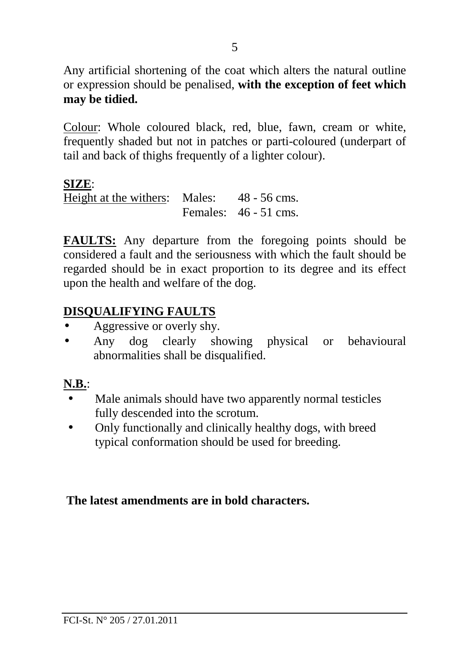Any artificial shortening of the coat which alters the natural outline or expression should be penalised, **with the exception of feet which may be tidied.** 

Colour: Whole coloured black, red, blue, fawn, cream or white, frequently shaded but not in patches or parti-coloured (underpart of tail and back of thighs frequently of a lighter colour).

#### **SIZE**:

Height at the withers: Males: 48 - 56 cms. Females: 46 - 51 cms.

**FAULTS:** Any departure from the foregoing points should be considered a fault and the seriousness with which the fault should be regarded should be in exact proportion to its degree and its effect upon the health and welfare of the dog.

### **DISQUALIFYING FAULTS**

- Aggressive or overly shy.
- Any dog clearly showing physical or behavioural abnormalities shall be disqualified.

### **N.B.**:

- Male animals should have two apparently normal testicles fully descended into the scrotum.
- Only functionally and clinically healthy dogs, with breed typical conformation should be used for breeding.

### **The latest amendments are in bold characters.**